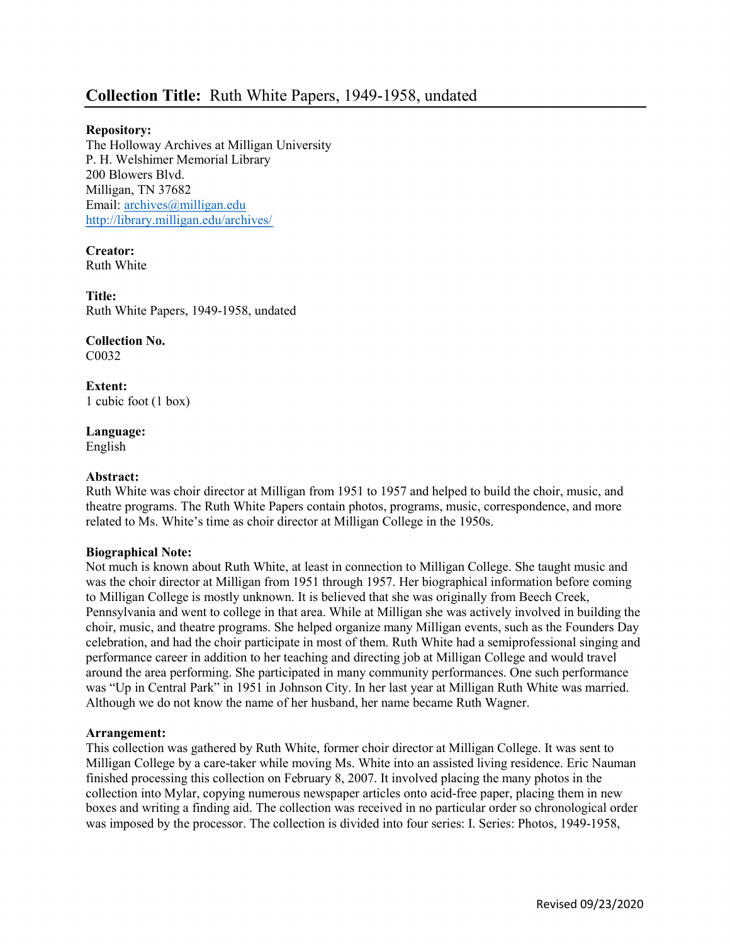# Collection Title: Ruth White Papers, 1949-1958, undated

# Repository:

The Holloway Archives at Milligan University P. H. Welshimer Memorial Library 200 Blowers Blvd. Milligan, TN 37682 Email: archives@milligan.edu http://library.milligan.edu/archives/

Creator: Ruth White

Title: Ruth White Papers, 1949-1958, undated

Collection No. C0032

Extent: 1 cubic foot (1 box)

Language: English

## Abstract:

Ruth White was choir director at Milligan from 1951 to 1957 and helped to build the choir, music, and theatre programs. The Ruth White Papers contain photos, programs, music, correspondence, and more related to Ms. White's time as choir director at Milligan College in the 1950s.

#### Biographical Note:

Not much is known about Ruth White, at least in connection to Milligan College. She taught music and was the choir director at Milligan from 1951 through 1957. Her biographical information before coming to Milligan College is mostly unknown. It is believed that she was originally from Beech Creek, Pennsylvania and went to college in that area. While at Milligan she was actively involved in building the choir, music, and theatre programs. She helped organize many Milligan events, such as the Founders Day celebration, and had the choir participate in most of them. Ruth White had a semiprofessional singing and performance career in addition to her teaching and directing job at Milligan College and would travel around the area performing. She participated in many community performances. One such performance was "Up in Central Park" in 1951 in Johnson City. In her last year at Milligan Ruth White was married. Although we do not know the name of her husband, her name became Ruth Wagner.

#### Arrangement:

This collection was gathered by Ruth White, former choir director at Milligan College. It was sent to Milligan College by a care-taker while moving Ms. White into an assisted living residence. Eric Nauman finished processing this collection on February 8, 2007. It involved placing the many photos in the collection into Mylar, copying numerous newspaper articles onto acid-free paper, placing them in new boxes and writing a finding aid. The collection was received in no particular order so chronological order was imposed by the processor. The collection is divided into four series: I. Series: Photos, 1949-1958,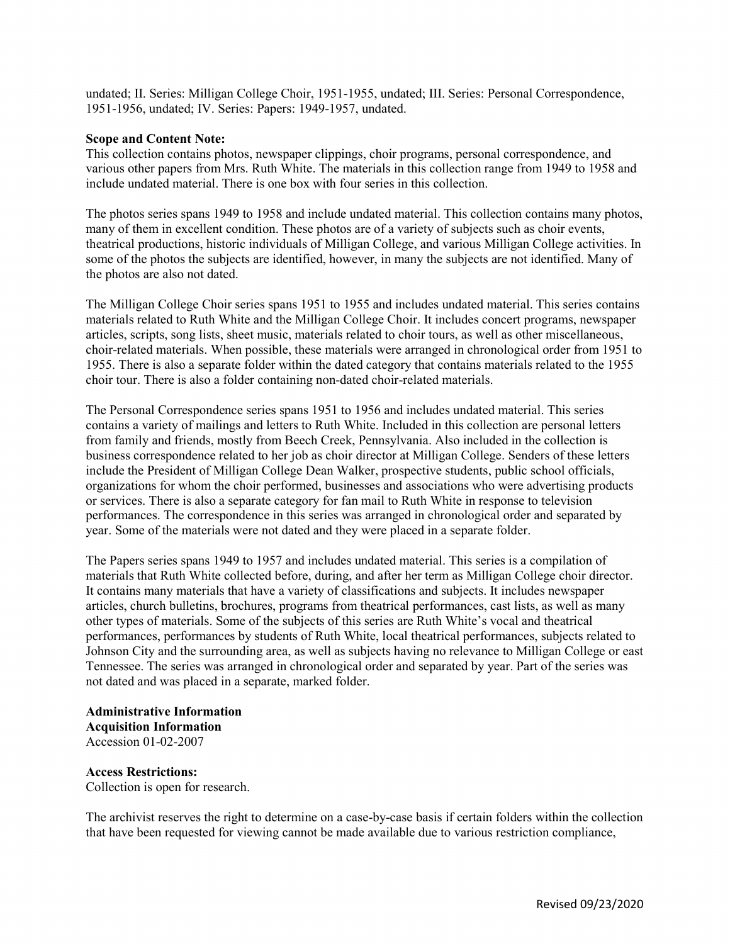undated; II. Series: Milligan College Choir, 1951-1955, undated; III. Series: Personal Correspondence, 1951-1956, undated; IV. Series: Papers: 1949-1957, undated.

## Scope and Content Note:

This collection contains photos, newspaper clippings, choir programs, personal correspondence, and various other papers from Mrs. Ruth White. The materials in this collection range from 1949 to 1958 and include undated material. There is one box with four series in this collection.

The photos series spans 1949 to 1958 and include undated material. This collection contains many photos, many of them in excellent condition. These photos are of a variety of subjects such as choir events, theatrical productions, historic individuals of Milligan College, and various Milligan College activities. In some of the photos the subjects are identified, however, in many the subjects are not identified. Many of the photos are also not dated.

The Milligan College Choir series spans 1951 to 1955 and includes undated material. This series contains materials related to Ruth White and the Milligan College Choir. It includes concert programs, newspaper articles, scripts, song lists, sheet music, materials related to choir tours, as well as other miscellaneous, choir-related materials. When possible, these materials were arranged in chronological order from 1951 to 1955. There is also a separate folder within the dated category that contains materials related to the 1955 choir tour. There is also a folder containing non-dated choir-related materials.

The Personal Correspondence series spans 1951 to 1956 and includes undated material. This series contains a variety of mailings and letters to Ruth White. Included in this collection are personal letters from family and friends, mostly from Beech Creek, Pennsylvania. Also included in the collection is business correspondence related to her job as choir director at Milligan College. Senders of these letters include the President of Milligan College Dean Walker, prospective students, public school officials, organizations for whom the choir performed, businesses and associations who were advertising products or services. There is also a separate category for fan mail to Ruth White in response to television performances. The correspondence in this series was arranged in chronological order and separated by year. Some of the materials were not dated and they were placed in a separate folder.

The Papers series spans 1949 to 1957 and includes undated material. This series is a compilation of materials that Ruth White collected before, during, and after her term as Milligan College choir director. It contains many materials that have a variety of classifications and subjects. It includes newspaper articles, church bulletins, brochures, programs from theatrical performances, cast lists, as well as many other types of materials. Some of the subjects of this series are Ruth White's vocal and theatrical performances, performances by students of Ruth White, local theatrical performances, subjects related to Johnson City and the surrounding area, as well as subjects having no relevance to Milligan College or east Tennessee. The series was arranged in chronological order and separated by year. Part of the series was not dated and was placed in a separate, marked folder.

Administrative Information Acquisition Information Accession 01-02-2007

Access Restrictions: Collection is open for research.

The archivist reserves the right to determine on a case-by-case basis if certain folders within the collection that have been requested for viewing cannot be made available due to various restriction compliance,